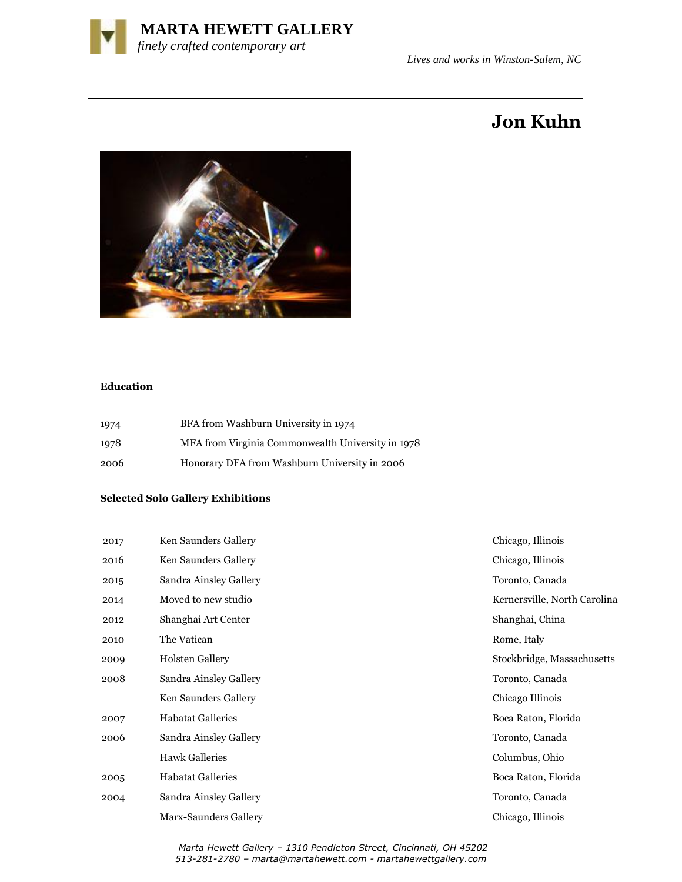

# **Jon Kuhn**



## **Education**

| 1974 | BFA from Washburn University in 1974              |
|------|---------------------------------------------------|
| 1978 | MFA from Virginia Commonwealth University in 1978 |
| 2006 | Honorary DFA from Washburn University in 2006     |

### **Selected Solo Gallery Exhibitions**

| 2017 | Chicago, Illinois<br>Ken Saunders Gallery            |                     |
|------|------------------------------------------------------|---------------------|
| 2016 | Chicago, Illinois<br>Ken Saunders Gallery            |                     |
| 2015 | Sandra Ainsley Gallery<br>Toronto, Canada            |                     |
| 2014 | Moved to new studio<br>Kernersville, North Carolina  |                     |
| 2012 | Shanghai, China<br>Shanghai Art Center               |                     |
| 2010 | The Vatican<br>Rome, Italy                           |                     |
| 2009 | <b>Holsten Gallery</b><br>Stockbridge, Massachusetts |                     |
| 2008 | Sandra Ainsley Gallery                               | Toronto, Canada     |
|      | Ken Saunders Gallery                                 | Chicago Illinois    |
| 2007 | <b>Habatat Galleries</b>                             | Boca Raton, Florida |
| 2006 | Sandra Ainsley Gallery                               | Toronto, Canada     |
|      | <b>Hawk Galleries</b>                                | Columbus, Ohio      |
| 2005 | <b>Habatat Galleries</b>                             | Boca Raton, Florida |
| 2004 | Sandra Ainsley Gallery                               | Toronto, Canada     |
|      | Marx-Saunders Gallery                                | Chicago, Illinois   |

 *Marta Hewett Gallery – 1310 Pendleton Street, Cincinnati, OH 45202 513-281-2780 – marta@martahewett.com - martahewettgallery.com*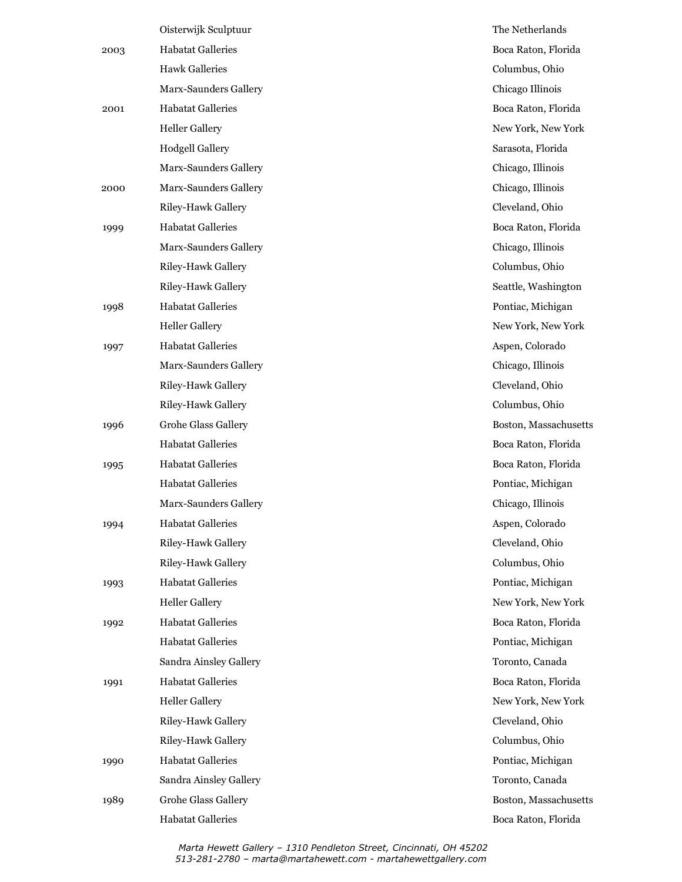|      | Oisterwijk Sculptuur       | The Netherlands       |
|------|----------------------------|-----------------------|
| 2003 | <b>Habatat Galleries</b>   | Boca Raton, Florida   |
|      | <b>Hawk Galleries</b>      | Columbus, Ohio        |
|      | Marx-Saunders Gallery      | Chicago Illinois      |
| 2001 | <b>Habatat Galleries</b>   | Boca Raton, Florida   |
|      | <b>Heller Gallery</b>      | New York, New York    |
|      | <b>Hodgell Gallery</b>     | Sarasota, Florida     |
|      | Marx-Saunders Gallery      | Chicago, Illinois     |
| 2000 | Marx-Saunders Gallery      | Chicago, Illinois     |
|      | Riley-Hawk Gallery         | Cleveland, Ohio       |
| 1999 | <b>Habatat Galleries</b>   | Boca Raton, Florida   |
|      | Marx-Saunders Gallery      | Chicago, Illinois     |
|      | Riley-Hawk Gallery         | Columbus, Ohio        |
|      | Riley-Hawk Gallery         | Seattle, Washington   |
| 1998 | <b>Habatat Galleries</b>   | Pontiac, Michigan     |
|      | <b>Heller Gallery</b>      | New York, New York    |
| 1997 | <b>Habatat Galleries</b>   | Aspen, Colorado       |
|      | Marx-Saunders Gallery      | Chicago, Illinois     |
|      | Riley-Hawk Gallery         | Cleveland, Ohio       |
|      | Riley-Hawk Gallery         | Columbus, Ohio        |
| 1996 | <b>Grohe Glass Gallery</b> | Boston, Massachusetts |
|      | <b>Habatat Galleries</b>   | Boca Raton, Florida   |
| 1995 | <b>Habatat Galleries</b>   | Boca Raton, Florida   |
|      | <b>Habatat Galleries</b>   | Pontiac, Michigan     |
|      | Marx-Saunders Gallery      | Chicago, Illinois     |
| 1994 | <b>Habatat Galleries</b>   | Aspen, Colorado       |
|      | Riley-Hawk Gallery         | Cleveland, Ohio       |
|      | Riley-Hawk Gallery         | Columbus, Ohio        |
| 1993 | <b>Habatat Galleries</b>   | Pontiac, Michigan     |
|      | <b>Heller Gallery</b>      | New York, New York    |
| 1992 | <b>Habatat Galleries</b>   | Boca Raton, Florida   |
|      | <b>Habatat Galleries</b>   | Pontiac, Michigan     |
|      | Sandra Ainsley Gallery     | Toronto, Canada       |
| 1991 | <b>Habatat Galleries</b>   | Boca Raton, Florida   |
|      | <b>Heller Gallery</b>      | New York, New York    |
|      | Riley-Hawk Gallery         | Cleveland, Ohio       |
|      | Riley-Hawk Gallery         | Columbus, Ohio        |
| 1990 | <b>Habatat Galleries</b>   | Pontiac, Michigan     |
|      | Sandra Ainsley Gallery     | Toronto, Canada       |
| 1989 | <b>Grohe Glass Gallery</b> | Boston, Massachusetts |
|      | <b>Habatat Galleries</b>   | Boca Raton, Florida   |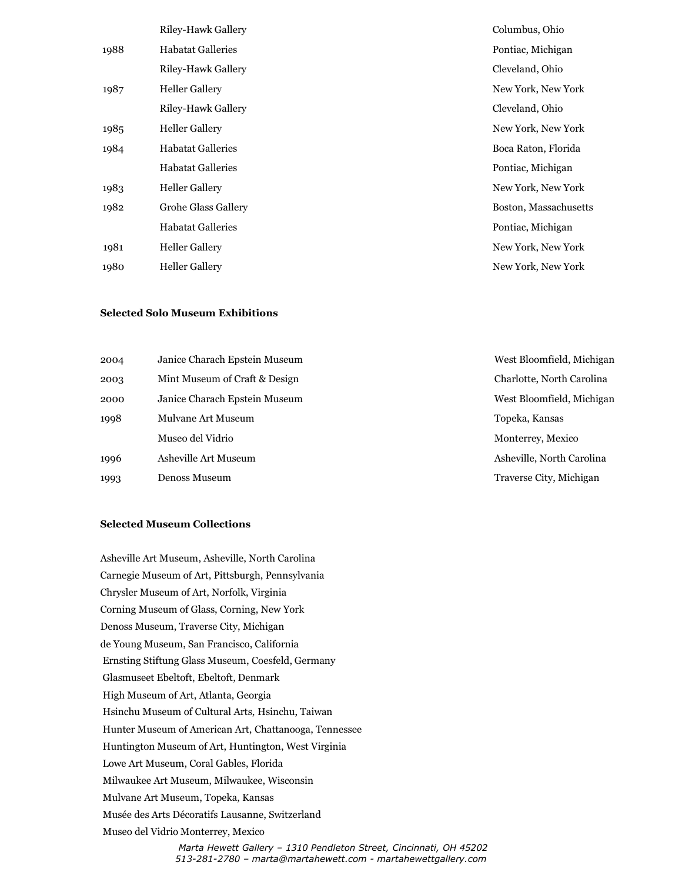|      | Riley-Hawk Gallery       | Columbus, Ohio        |
|------|--------------------------|-----------------------|
| 1988 | <b>Habatat Galleries</b> | Pontiac, Michigan     |
|      | Riley-Hawk Gallery       | Cleveland, Ohio       |
| 1987 | <b>Heller Gallery</b>    | New York, New York    |
|      | Riley-Hawk Gallery       | Cleveland, Ohio       |
| 1985 | <b>Heller Gallery</b>    | New York, New York    |
| 1984 | <b>Habatat Galleries</b> | Boca Raton, Florida   |
|      | <b>Habatat Galleries</b> | Pontiac, Michigan     |
| 1983 | <b>Heller Gallery</b>    | New York, New York    |
| 1982 | Grohe Glass Gallery      | Boston, Massachusetts |
|      | <b>Habatat Galleries</b> | Pontiac, Michigan     |
| 1981 | <b>Heller Gallery</b>    | New York, New York    |
| 1980 | <b>Heller Gallery</b>    | New York, New York    |
|      |                          |                       |

#### **Selected Solo Museum Exhibitions**

| 2004 | Janice Charach Epstein Museum |
|------|-------------------------------|
| 2003 | Mint Museum of Craft & Design |
| 2000 | Janice Charach Epstein Museun |
| 1998 | Mulvane Art Museum            |
|      | Museo del Vidrio              |
| 1996 | Asheville Art Museum          |
| 1993 | Denoss Museum                 |

#### **Selected Museum Collections**

 *Marta Hewett Gallery – 1310 Pendleton Street, Cincinnati, OH 45202* Asheville Art Museum, Asheville, North Carolina Carnegie Museum of Art, Pittsburgh, Pennsylvania Chrysler Museum of Art, Norfolk, Virginia Corning Museum of Glass, Corning, New York Denoss Museum, Traverse City, Michigan de Young Museum, San Francisco, California Ernsting Stiftung Glass Museum, Coesfeld, Germany Glasmuseet Ebeltoft, Ebeltoft, Denmark High Museum of Art, Atlanta, Georgia Hsinchu Museum of Cultural Arts, Hsinchu, Taiwan Hunter Museum of American Art, Chattanooga, Tennessee Huntington Museum of Art, Huntington, West Virginia Lowe Art Museum, Coral Gables, Florida Milwaukee Art Museum, Milwaukee, Wisconsin Mulvane Art Museum, Topeka, Kansas Musée des Arts Décoratifs Lausanne, Switzerland Museo del Vidrio Monterrey, Mexico

 *513-281-2780 – marta@martahewett.com - martahewettgallery.com*

e Charach Epstein Museum and The Charach Epstein Museum West Bloomfield, Michigan Charlotte, North Carolina n 2000 - West Bloomfield, Michigan Topeka, Kansas Monterrey, Mexico Asheville, North Carolina Traverse City, Michigan